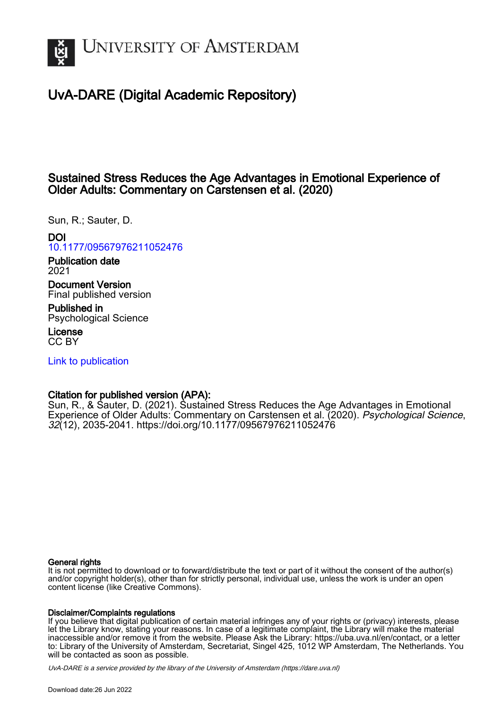

# UvA-DARE (Digital Academic Repository)

# Sustained Stress Reduces the Age Advantages in Emotional Experience of Older Adults: Commentary on Carstensen et al. (2020)

Sun, R.; Sauter, D.

# DOI

[10.1177/09567976211052476](https://doi.org/10.1177/09567976211052476)

Publication date 2021

Document Version Final published version

Published in Psychological Science

License CC BY

[Link to publication](https://dare.uva.nl/personal/pure/en/publications/sustained-stress-reduces-the-age-advantages-in-emotional-experience-of-older-adults-commentary-on-carstensen-et-al-2020(edc65ff9-853c-4406-81fb-ec5f736a268d).html)

# Citation for published version (APA):

Sun, R., & Sauter, D. (2021). Sustained Stress Reduces the Age Advantages in Emotional Experience of Older Adults: Commentary on Carstensen et al. (2020). Psychological Science, 32(12), 2035-2041.<https://doi.org/10.1177/09567976211052476>

### General rights

It is not permitted to download or to forward/distribute the text or part of it without the consent of the author(s) and/or copyright holder(s), other than for strictly personal, individual use, unless the work is under an open content license (like Creative Commons).

#### Disclaimer/Complaints regulations

If you believe that digital publication of certain material infringes any of your rights or (privacy) interests, please let the Library know, stating your reasons. In case of a legitimate complaint, the Library will make the material inaccessible and/or remove it from the website. Please Ask the Library: https://uba.uva.nl/en/contact, or a letter to: Library of the University of Amsterdam, Secretariat, Singel 425, 1012 WP Amsterdam, The Netherlands. You will be contacted as soon as possible.

UvA-DARE is a service provided by the library of the University of Amsterdam (http*s*://dare.uva.nl)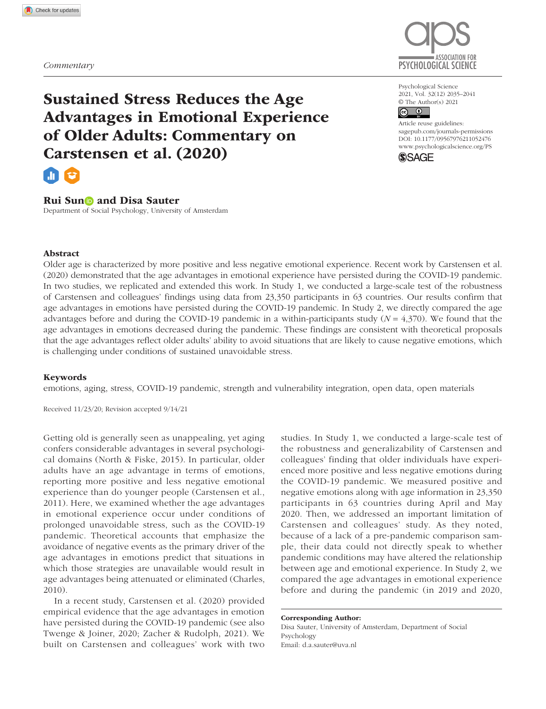

Psychological Science 2021, Vol. 32(12) 2035–2041 © The Author(s) 2021

# $\boxed{6}$

https://doi.org/10.1177/09567976211052476 DOI: 10.1177/09567976211052476 Article reuse guidelines: [sagepub.com/journals-permissions](https://us.sagepub.com/en-us/journals-permissions) [www.psychologicalscience.org/PS](http://www.psychologicalscience.org/ps)



Sustained Stress Reduces the Age Advantages in Emotional Experience of Older Adults: Commentary on Carstensen et al. (2020)



### Rui Sun**D** and Disa Sauter

Department of Social Psychology, University of Amsterdam

#### Abstract

Older age is characterized by more positive and less negative emotional experience. Recent work by Carstensen et al. (2020) demonstrated that the age advantages in emotional experience have persisted during the COVID-19 pandemic. In two studies, we replicated and extended this work. In Study 1, we conducted a large-scale test of the robustness of Carstensen and colleagues' findings using data from 23,350 participants in 63 countries. Our results confirm that age advantages in emotions have persisted during the COVID-19 pandemic. In Study 2, we directly compared the age advantages before and during the COVID-19 pandemic in a within-participants study (*N* = 4,370). We found that the age advantages in emotions decreased during the pandemic. These findings are consistent with theoretical proposals that the age advantages reflect older adults' ability to avoid situations that are likely to cause negative emotions, which is challenging under conditions of sustained unavoidable stress.

#### Keywords

emotions, aging, stress, COVID-19 pandemic, strength and vulnerability integration, open data, open materials

Received 11/23/20; Revision accepted 9/14/21

Getting old is generally seen as unappealing, yet aging confers considerable advantages in several psychological domains (North & Fiske, 2015). In particular, older adults have an age advantage in terms of emotions, reporting more positive and less negative emotional experience than do younger people (Carstensen et al., 2011). Here, we examined whether the age advantages in emotional experience occur under conditions of prolonged unavoidable stress, such as the COVID-19 pandemic. Theoretical accounts that emphasize the avoidance of negative events as the primary driver of the age advantages in emotions predict that situations in which those strategies are unavailable would result in age advantages being attenuated or eliminated (Charles, 2010).

In a recent study, Carstensen et al. (2020) provided empirical evidence that the age advantages in emotion have persisted during the COVID-19 pandemic (see also Twenge & Joiner, 2020; Zacher & Rudolph, 2021). We built on Carstensen and colleagues' work with two

studies. In Study 1, we conducted a large-scale test of the robustness and generalizability of Carstensen and colleagues' finding that older individuals have experienced more positive and less negative emotions during the COVID-19 pandemic. We measured positive and negative emotions along with age information in 23,350 participants in 63 countries during April and May 2020. Then, we addressed an important limitation of Carstensen and colleagues' study. As they noted, because of a lack of a pre-pandemic comparison sample, their data could not directly speak to whether pandemic conditions may have altered the relationship between age and emotional experience. In Study 2, we compared the age advantages in emotional experience before and during the pandemic (in 2019 and 2020,

Corresponding Author: Disa Sauter, University of Amsterdam, Department of Social Psychology Email: [d.a.sauter@uva.nl](mailto:d.a.sauter@uva.nl)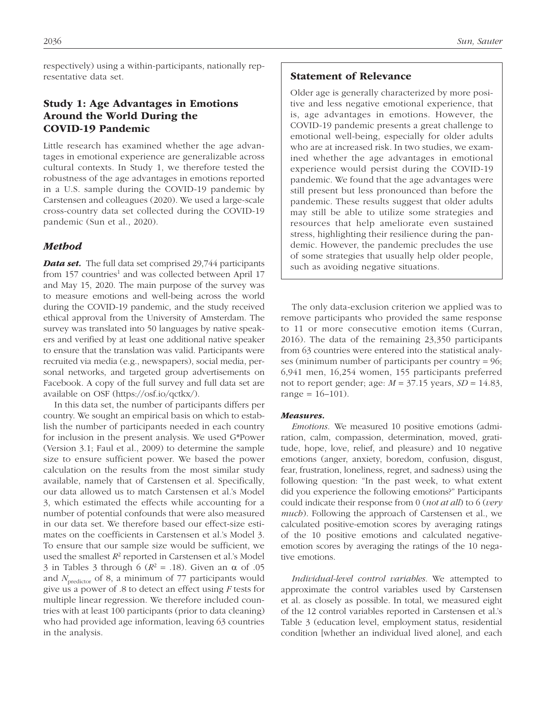respectively) using a within-participants, nationally representative data set.

# Study 1: Age Advantages in Emotions Around the World During the COVID-19 Pandemic

Little research has examined whether the age advantages in emotional experience are generalizable across cultural contexts. In Study 1, we therefore tested the robustness of the age advantages in emotions reported in a U.S. sample during the COVID-19 pandemic by Carstensen and colleagues (2020). We used a large-scale cross-country data set collected during the COVID-19 pandemic (Sun et al., 2020).

### *Method*

*Data set.* The full data set comprised 29,744 participants from 157 countries<sup>1</sup> and was collected between April 17 and May 15, 2020. The main purpose of the survey was to measure emotions and well-being across the world during the COVID-19 pandemic, and the study received ethical approval from the University of Amsterdam. The survey was translated into 50 languages by native speakers and verified by at least one additional native speaker to ensure that the translation was valid. Participants were recruited via media (e.g., newspapers), social media, personal networks, and targeted group advertisements on Facebook. A copy of the full survey and full data set are available on OSF [\(https://osf.io/qctkx/\)](https://osf.io/qctkx/).

In this data set, the number of participants differs per country. We sought an empirical basis on which to establish the number of participants needed in each country for inclusion in the present analysis. We used G\*Power (Version 3.1; Faul et al., 2009) to determine the sample size to ensure sufficient power. We based the power calculation on the results from the most similar study available, namely that of Carstensen et al. Specifically, our data allowed us to match Carstensen et al.'s Model 3, which estimated the effects while accounting for a number of potential confounds that were also measured in our data set. We therefore based our effect-size estimates on the coefficients in Carstensen et al.'s Model 3. To ensure that our sample size would be sufficient, we used the smallest  $R^2$  reported in Carstensen et al.'s Model 3 in Tables 3 through 6 ( $R^2$  = .18). Given an α of .05 and *N*<sub>predictor</sub> of 8, a minimum of 77 participants would give us a power of .8 to detect an effect using *F* tests for multiple linear regression. We therefore included countries with at least 100 participants (prior to data cleaning) who had provided age information, leaving 63 countries in the analysis.

## Statement of Relevance

Older age is generally characterized by more positive and less negative emotional experience, that is, age advantages in emotions. However, the COVID-19 pandemic presents a great challenge to emotional well-being, especially for older adults who are at increased risk. In two studies, we examined whether the age advantages in emotional experience would persist during the COVID-19 pandemic. We found that the age advantages were still present but less pronounced than before the pandemic. These results suggest that older adults may still be able to utilize some strategies and resources that help ameliorate even sustained stress, highlighting their resilience during the pandemic. However, the pandemic precludes the use of some strategies that usually help older people, such as avoiding negative situations.

The only data-exclusion criterion we applied was to remove participants who provided the same response to 11 or more consecutive emotion items (Curran, 2016). The data of the remaining 23,350 participants from 63 countries were entered into the statistical analyses (minimum number of participants per country = 96; 6,941 men, 16,254 women, 155 participants preferred not to report gender; age: *M* = 37.15 years, *SD* = 14.83, range =  $16-101$ ).

#### *Measures.*

*Emotions.* We measured 10 positive emotions (admiration, calm, compassion, determination, moved, gratitude, hope, love, relief, and pleasure) and 10 negative emotions (anger, anxiety, boredom, confusion, disgust, fear, frustration, loneliness, regret, and sadness) using the following question: "In the past week, to what extent did you experience the following emotions?" Participants could indicate their response from 0 (*not at all*) to 6 (*very much*). Following the approach of Carstensen et al., we calculated positive-emotion scores by averaging ratings of the 10 positive emotions and calculated negativeemotion scores by averaging the ratings of the 10 negative emotions.

*Individual-level control variables.* We attempted to approximate the control variables used by Carstensen et al. as closely as possible. In total, we measured eight of the 12 control variables reported in Carstensen et al.'s Table 3 (education level, employment status, residential condition [whether an individual lived alone], and each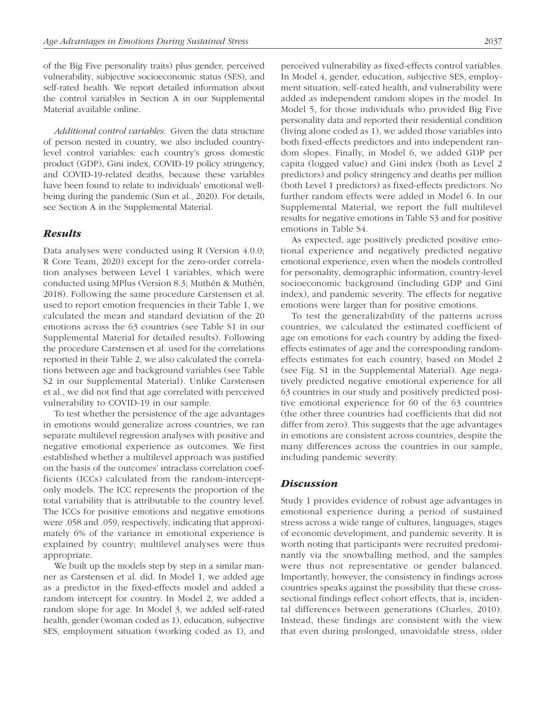of the Big Five personality traits) plus gender, perceived vulnerability, subjective socioeconomic status (SES), and self-rated health. We report detailed information about the control variables in Section A in our Supplemental Material available online.

*Additional control variables.* Given the data structure of person nested in country, we also included countrylevel control variables: each country's gross domestic product (GDP), Gini index, COVID-19 policy stringency, and COVID-19-related deaths, because these variables have been found to relate to individuals' emotional wellbeing during the pandemic (Sun et al., 2020). For details, see Section A in the Supplemental Material.

#### *Results*

Data analyses were conducted using R (Version 4.0.0; R Core Team, 2020) except for the zero-order correlation analyses between Level 1 variables, which were conducted using MPlus (Version 8.3; Muthén & Muthén, 2018). Following the same procedure Carstensen et al. used to report emotion frequencies in their Table 1, we calculated the mean and standard deviation of the 20 emotions across the 63 countries (see Table S1 in our Supplemental Material for detailed results). Following the procedure Carstensen et al. used for the correlations reported in their Table 2, we also calculated the correlations between age and background variables (see Table S2 in our Supplemental Material). Unlike Carstensen et al., we did not find that age correlated with perceived vulnerability to COVID-19 in our sample.

To test whether the persistence of the age advantages in emotions would generalize across countries, we ran separate multilevel regression analyses with positive and negative emotional experience as outcomes. We first established whether a multilevel approach was justified on the basis of the outcomes' intraclass correlation coefficients (ICCs) calculated from the random-interceptonly models. The ICC represents the proportion of the total variability that is attributable to the country level. The ICCs for positive emotions and negative emotions were .058 and .059, respectively, indicating that approximately 6% of the variance in emotional experience is explained by country; multilevel analyses were thus appropriate.

We built up the models step by step in a similar manner as Carstensen et al. did. In Model 1, we added age as a predictor in the fixed-effects model and added a random intercept for country. In Model 2, we added a random slope for age. In Model 3, we added self-rated health, gender (woman coded as 1), education, subjective SES, employment situation (working coded as 1), and perceived vulnerability as fixed-effects control variables. In Model 4, gender, education, subjective SES, employment situation, self-rated health, and vulnerability were added as independent random slopes in the model. In Model 5, for those individuals who provided Big Five personality data and reported their residential condition (living alone coded as 1), we added those variables into both fixed-effects predictors and into independent random slopes. Finally, in Model 6, we added GDP per capita (logged value) and Gini index (both as Level 2 predictors) and policy stringency and deaths per million (both Level 1 predictors) as fixed-effects predictors. No further random effects were added in Model 6. In our Supplemental Material, we report the full multilevel results for negative emotions in Table S3 and for positive emotions in Table S4.

As expected, age positively predicted positive emotional experience and negatively predicted negative emotional experience, even when the models controlled for personality, demographic information, country-level socioeconomic background (including GDP and Gini index), and pandemic severity. The effects for negative emotions were larger than for positive emotions.

To test the generalizability of the patterns across countries, we calculated the estimated coefficient of age on emotions for each country by adding the fixedeffects estimates of age and the corresponding randomeffects estimates for each country, based on Model 2 (see Fig. S1 in the Supplemental Material). Age negatively predicted negative emotional experience for all 63 countries in our study and positively predicted positive emotional experience for 60 of the 63 countries (the other three countries had coefficients that did not differ from zero). This suggests that the age advantages in emotions are consistent across countries, despite the many differences across the countries in our sample, including pandemic severity.

#### *Discussion*

Study 1 provides evidence of robust age advantages in emotional experience during a period of sustained stress across a wide range of cultures, languages, stages of economic development, and pandemic severity. It is worth noting that participants were recruited predominantly via the snowballing method, and the samples were thus not representative or gender balanced. Importantly, however, the consistency in findings across countries speaks against the possibility that these crosssectional findings reflect cohort effects, that is, incidental differences between generations (Charles, 2010). Instead, these findings are consistent with the view that even during prolonged, unavoidable stress, older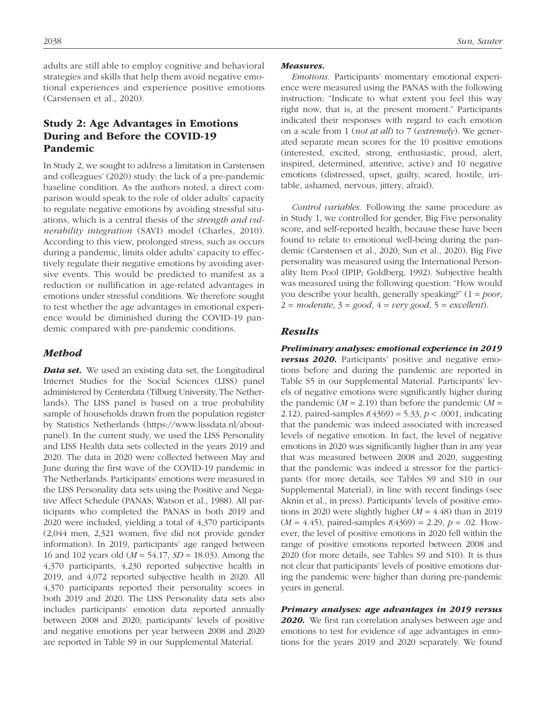adults are still able to employ cognitive and behavioral strategies and skills that help them avoid negative emotional experiences and experience positive emotions (Carstensen et al., 2020).

## Study 2: Age Advantages in Emotions During and Before the COVID-19 Pandemic

In Study 2, we sought to address a limitation in Carstensen and colleagues' (2020) study: the lack of a pre-pandemic baseline condition. As the authors noted, a direct comparison would speak to the role of older adults' capacity to regulate negative emotions by avoiding stressful situations, which is a central thesis of the *strength and vulnerability integration* (SAVI) model (Charles, 2010). According to this view, prolonged stress, such as occurs during a pandemic, limits older adults' capacity to effectively regulate their negative emotions by avoiding aversive events. This would be predicted to manifest as a reduction or nullification in age-related advantages in emotions under stressful conditions. We therefore sought to test whether the age advantages in emotional experience would be diminished during the COVID-19 pandemic compared with pre-pandemic conditions.

#### *Method*

*Data set.* We used an existing data set, the Longitudinal Internet Studies for the Social Sciences (LISS) panel administered by Centerdata (Tilburg University, The Netherlands). The LISS panel is based on a true probability sample of households drawn from the population register by Statistics Netherlands [\(https://www.lissdata.nl/about](https://www.lissdata.nl/about-panel)[panel\)](https://www.lissdata.nl/about-panel). In the current study, we used the LISS Personality and LISS Health data sets collected in the years 2019 and 2020. The data in 2020 were collected between May and June during the first wave of the COVID-19 pandemic in The Netherlands. Participants' emotions were measured in the LISS Personality data sets using the Positive and Negative Affect Schedule (PANAS; Watson et al., 1988). All participants who completed the PANAS in both 2019 and 2020 were included, yielding a total of 4,370 participants (2,044 men, 2,321 women, five did not provide gender information). In 2019, participants' age ranged between 16 and 102 years old (*M* = 54.17, *SD* = 18.03). Among the 4,370 participants, 4,230 reported subjective health in 2019, and 4,072 reported subjective health in 2020. All 4,370 participants reported their personality scores in both 2019 and 2020. The LISS Personality data sets also includes participants' emotion data reported annually between 2008 and 2020; participants' levels of positive and negative emotions per year between 2008 and 2020 are reported in Table S9 in our Supplemental Material.

#### *Measures.*

*Emotions.* Participants' momentary emotional experience were measured using the PANAS with the following instruction: "Indicate to what extent you feel this way right now, that is, at the present moment." Participants indicated their responses with regard to each emotion on a scale from 1 (*not at all*) to 7 (*extremely*). We generated separate mean scores for the 10 positive emotions (interested, excited, strong, enthusiastic, proud, alert, inspired, determined, attentive, active) and 10 negative emotions (distressed, upset, guilty, scared, hostile, irritable, ashamed, nervous, jittery, afraid).

*Control variables.* Following the same procedure as in Study 1, we controlled for gender, Big Five personality score, and self-reported health, because these have been found to relate to emotional well-being during the pandemic (Carstensen et al., 2020; Sun et al., 2020). Big Five personality was measured using the International Personality Item Pool (IPIP; Goldberg, 1992). Subjective health was measured using the following question: "How would you describe your health, generally speaking?" (1 = *poor*,  $2 = moderate, 3 = good, 4 = very good, 5 = excellent).$ 

#### *Results*

*Preliminary analyses: emotional experience in 2019 versus 2020.* Participants' positive and negative emotions before and during the pandemic are reported in Table S5 in our Supplemental Material. Participants' levels of negative emotions were significantly higher during the pandemic  $(M = 2.19)$  than before the pandemic  $(M = 1.19)$ 2.12), paired-samples *t*(4369) = 5.33, *p* < .0001, indicating that the pandemic was indeed associated with increased levels of negative emotion. In fact, the level of negative emotions in 2020 was significantly higher than in any year that was measured between 2008 and 2020, suggesting that the pandemic was indeed a stressor for the participants (for more details, see Tables S9 and S10 in our Supplemental Material), in line with recent findings (see Aknin et al., in press). Participants' levels of positive emotions in 2020 were slightly higher (*M* = 4.48) than in 2019 (*M* = 4.45), paired-samples *t*(4369) = 2.29, *p* = .02. However, the level of positive emotions in 2020 fell within the range of positive emotions reported between 2008 and 2020 (for more details, see Tables S9 and S10). It is thus not clear that participants' levels of positive emotions during the pandemic were higher than during pre-pandemic years in general.

#### *Primary analyses: age advantages in 2019 versus*

*2020.* We first ran correlation analyses between age and emotions to test for evidence of age advantages in emotions for the years 2019 and 2020 separately. We found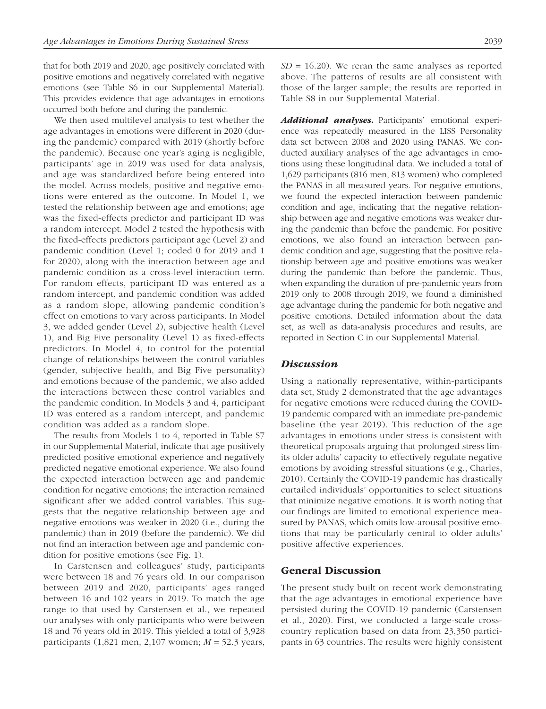that for both 2019 and 2020, age positively correlated with positive emotions and negatively correlated with negative emotions (see Table S6 in our Supplemental Material). This provides evidence that age advantages in emotions occurred both before and during the pandemic.

We then used multilevel analysis to test whether the age advantages in emotions were different in 2020 (during the pandemic) compared with 2019 (shortly before the pandemic). Because one year's aging is negligible, participants' age in 2019 was used for data analysis, and age was standardized before being entered into the model. Across models, positive and negative emotions were entered as the outcome. In Model 1, we tested the relationship between age and emotions; age was the fixed-effects predictor and participant ID was a random intercept. Model 2 tested the hypothesis with the fixed-effects predictors participant age (Level 2) and pandemic condition (Level 1; coded 0 for 2019 and 1 for 2020), along with the interaction between age and pandemic condition as a cross-level interaction term. For random effects, participant ID was entered as a random intercept, and pandemic condition was added as a random slope, allowing pandemic condition's effect on emotions to vary across participants. In Model 3, we added gender (Level 2), subjective health (Level 1), and Big Five personality (Level 1) as fixed-effects predictors. In Model 4, to control for the potential change of relationships between the control variables (gender, subjective health, and Big Five personality) and emotions because of the pandemic, we also added the interactions between these control variables and the pandemic condition. In Models 3 and 4, participant ID was entered as a random intercept, and pandemic condition was added as a random slope.

The results from Models 1 to 4, reported in Table S7 in our Supplemental Material, indicate that age positively predicted positive emotional experience and negatively predicted negative emotional experience. We also found the expected interaction between age and pandemic condition for negative emotions; the interaction remained significant after we added control variables. This suggests that the negative relationship between age and negative emotions was weaker in 2020 (i.e., during the pandemic) than in 2019 (before the pandemic). We did not find an interaction between age and pandemic condition for positive emotions (see Fig. 1).

In Carstensen and colleagues' study, participants were between 18 and 76 years old. In our comparison between 2019 and 2020, participants' ages ranged between 16 and 102 years in 2019. To match the age range to that used by Carstensen et al., we repeated our analyses with only participants who were between 18 and 76 years old in 2019. This yielded a total of 3,928 participants (1,821 men, 2,107 women; *M* = 52.3 years,  $SD = 16.20$ ). We reran the same analyses as reported above. The patterns of results are all consistent with those of the larger sample; the results are reported in Table S8 in our Supplemental Material.

*Additional analyses.* Participants' emotional experience was repeatedly measured in the LISS Personality data set between 2008 and 2020 using PANAS. We conducted auxiliary analyses of the age advantages in emotions using these longitudinal data. We included a total of 1,629 participants (816 men, 813 women) who completed the PANAS in all measured years. For negative emotions, we found the expected interaction between pandemic condition and age, indicating that the negative relationship between age and negative emotions was weaker during the pandemic than before the pandemic. For positive emotions, we also found an interaction between pandemic condition and age, suggesting that the positive relationship between age and positive emotions was weaker during the pandemic than before the pandemic. Thus, when expanding the duration of pre-pandemic years from 2019 only to 2008 through 2019, we found a diminished age advantage during the pandemic for both negative and positive emotions. Detailed information about the data set, as well as data-analysis procedures and results, are reported in Section C in our Supplemental Material.

#### *Discussion*

Using a nationally representative, within-participants data set, Study 2 demonstrated that the age advantages for negative emotions were reduced during the COVID-19 pandemic compared with an immediate pre-pandemic baseline (the year 2019). This reduction of the age advantages in emotions under stress is consistent with theoretical proposals arguing that prolonged stress limits older adults' capacity to effectively regulate negative emotions by avoiding stressful situations (e.g., Charles, 2010). Certainly the COVID-19 pandemic has drastically curtailed individuals' opportunities to select situations that minimize negative emotions. It is worth noting that our findings are limited to emotional experience measured by PANAS, which omits low-arousal positive emotions that may be particularly central to older adults' positive affective experiences.

#### General Discussion

The present study built on recent work demonstrating that the age advantages in emotional experience have persisted during the COVID-19 pandemic (Carstensen et al., 2020). First, we conducted a large-scale crosscountry replication based on data from 23,350 participants in 63 countries. The results were highly consistent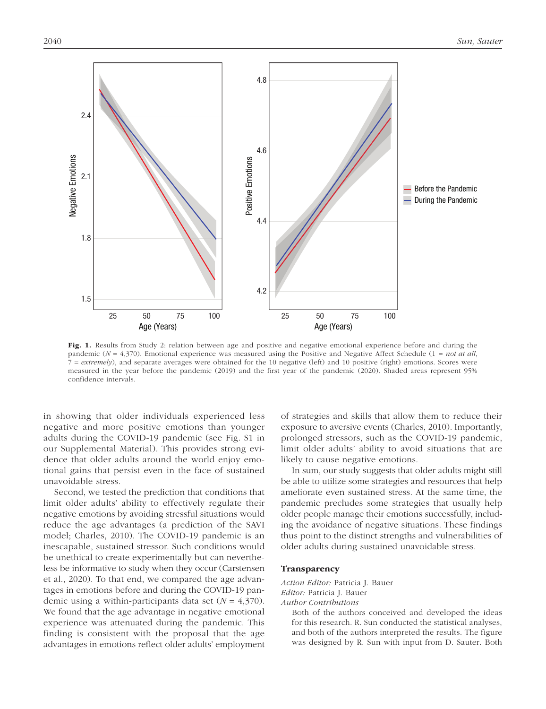

Fig. 1. Results from Study 2: relation between age and positive and negative emotional experience before and during the pandemic ( $N = 4,370$ ). Emotional experience was measured using the Positive and Negative Affect Schedule ( $1 = not$  at all, 7 = *extremely*), and separate averages were obtained for the 10 negative (left) and 10 positive (right) emotions. Scores were measured in the year before the pandemic (2019) and the first year of the pandemic (2020). Shaded areas represent 95% confidence intervals.

in showing that older individuals experienced less negative and more positive emotions than younger adults during the COVID-19 pandemic (see Fig. S1 in our Supplemental Material). This provides strong evidence that older adults around the world enjoy emotional gains that persist even in the face of sustained unavoidable stress.

Second, we tested the prediction that conditions that limit older adults' ability to effectively regulate their negative emotions by avoiding stressful situations would reduce the age advantages (a prediction of the SAVI model; Charles, 2010). The COVID-19 pandemic is an inescapable, sustained stressor. Such conditions would be unethical to create experimentally but can nevertheless be informative to study when they occur (Carstensen et al., 2020). To that end, we compared the age advantages in emotions before and during the COVID-19 pandemic using a within-participants data set (*N* = 4,370). We found that the age advantage in negative emotional experience was attenuated during the pandemic. This finding is consistent with the proposal that the age advantages in emotions reflect older adults' employment of strategies and skills that allow them to reduce their exposure to aversive events (Charles, 2010). Importantly, prolonged stressors, such as the COVID-19 pandemic, limit older adults' ability to avoid situations that are likely to cause negative emotions.

In sum, our study suggests that older adults might still be able to utilize some strategies and resources that help ameliorate even sustained stress. At the same time, the pandemic precludes some strategies that usually help older people manage their emotions successfully, including the avoidance of negative situations. These findings thus point to the distinct strengths and vulnerabilities of older adults during sustained unavoidable stress.

#### **Transparency**

*Action Editor:* Patricia J. Bauer *Editor:* Patricia J. Bauer

*Author Contributions*

Both of the authors conceived and developed the ideas for this research. R. Sun conducted the statistical analyses, and both of the authors interpreted the results. The figure was designed by R. Sun with input from D. Sauter. Both